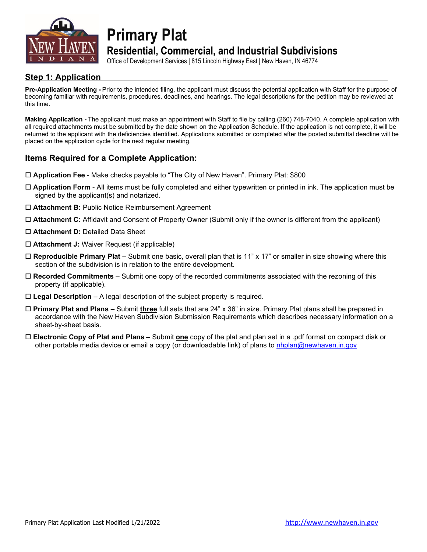

**Primary Plat**

## **Residential, Commercial, and Industrial Subdivisions**

Office of Development Services | 815 Lincoln Highway East | New Haven, IN 46774

### **Step 1: Application**

**Pre-Application Meeting -** Prior to the intended filing, the applicant must discuss the potential application with Staff for the purpose of becoming familiar with requirements, procedures, deadlines, and hearings. The legal descriptions for the petition may be reviewed at this time.

**Making Application -** The applicant must make an appointment with Staff to file by calling (260) 748-7040. A complete application with all required attachments must be submitted by the date shown on the Application Schedule. If the application is not complete, it will be returned to the applicant with the deficiencies identified. Applications submitted or completed after the posted submittal deadline will be placed on the application cycle for the next regular meeting.

### **Items Required for a Complete Application:**

- **Application Fee** Make checks payable to "The City of New Haven". Primary Plat: \$800
- **Application Form** All items must be fully completed and either typewritten or printed in ink. The application must be signed by the applicant(s) and notarized.
- **Attachment B:** Public Notice Reimbursement Agreement
- **Attachment C:** Affidavit and Consent of Property Owner (Submit only if the owner is different from the applicant)
- **Attachment D:** Detailed Data Sheet
- **Attachment J:** Waiver Request (if applicable)
- **Reproducible Primary Plat –** Submit one basic, overall plan that is 11" x 17" or smaller in size showing where this section of the subdivision is in relation to the entire development.
- **Recorded Commitments**  Submit one copy of the recorded commitments associated with the rezoning of this property (if applicable).
- **Legal Description**  A legal description of the subject property is required.
- **Primary Plat and Plans –** Submit **three** full sets that are 24" x 36" in size. Primary Plat plans shall be prepared in accordance with the New Haven Subdivision Submission Requirements which describes necessary information on a sheet-by-sheet basis.
- **Electronic Copy of Plat and Plans –** Submit **one** copy of the plat and plan set in a .pdf format on compact disk or other portable media device or email a copy (or downloadable link) of plans to [nhplan@newhaven.in.gov](mailto:nhplan@newhaven.in.gov)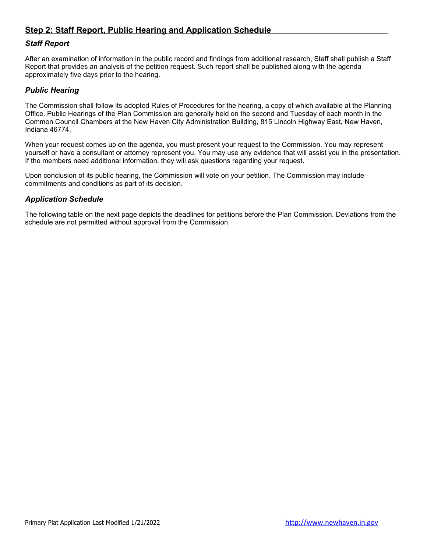### **Step 2: Staff Report, Public Hearing and Application Schedule**

#### *Staff Report*

After an examination of information in the public record and findings from additional research, Staff shall publish a Staff Report that provides an analysis of the petition request. Such report shall be published along with the agenda approximately five days prior to the hearing.

#### *Public Hearing*

The Commission shall follow its adopted Rules of Procedures for the hearing, a copy of which available at the Planning Office. Public Hearings of the Plan Commission are generally held on the second and Tuesday of each month in the Common Council Chambers at the New Haven City Administration Building, 815 Lincoln Highway East, New Haven, Indiana 46774.

When your request comes up on the agenda, you must present your request to the Commission. You may represent yourself or have a consultant or attorney represent you. You may use any evidence that will assist you in the presentation. If the members need additional information, they will ask questions regarding your request.

Upon conclusion of its public hearing, the Commission will vote on your petition. The Commission may include commitments and conditions as part of its decision.

#### *Application Schedule*

The following table on the next page depicts the deadlines for petitions before the Plan Commission. Deviations from the schedule are not permitted without approval from the Commission.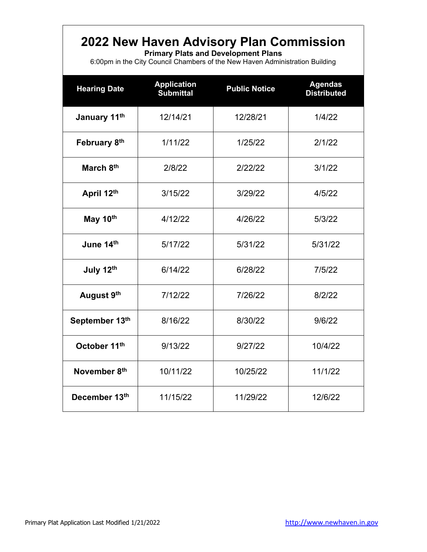## **2022 New Haven Advisory Plan Commission**

**Primary Plats and Development Plans**

6:00pm in the City Council Chambers of the New Haven Administration Building

| <b>Hearing Date</b>       | <b>Application</b><br><b>Submittal</b> | <b>Public Notice</b> | <b>Agendas</b><br><b>Distributed</b> |
|---------------------------|----------------------------------------|----------------------|--------------------------------------|
| January 11th              | 12/14/21                               | 12/28/21             | 1/4/22                               |
| February 8th              | 1/11/22                                | 1/25/22              | 2/1/22                               |
| March 8th                 | 2/8/22                                 | 2/22/22              | 3/1/22                               |
| April 12th                | 3/15/22                                | 3/29/22              | 4/5/22                               |
| May 10th                  | 4/12/22                                | 4/26/22              | 5/3/22                               |
| June 14th<br>5/17/22      |                                        | 5/31/22              | 5/31/22                              |
| July 12th                 | 6/14/22                                | 6/28/22              | 7/5/22                               |
| August 9th                | 7/12/22                                | 7/26/22              | 8/2/22                               |
| September 13th<br>8/16/22 |                                        | 8/30/22              | 9/6/22                               |
| October 11th<br>9/13/22   |                                        | 9/27/22              | 10/4/22                              |
| November 8th              | 10/11/22                               | 10/25/22             | 11/1/22                              |
| December 13th             | 11/15/22                               | 11/29/22             | 12/6/22                              |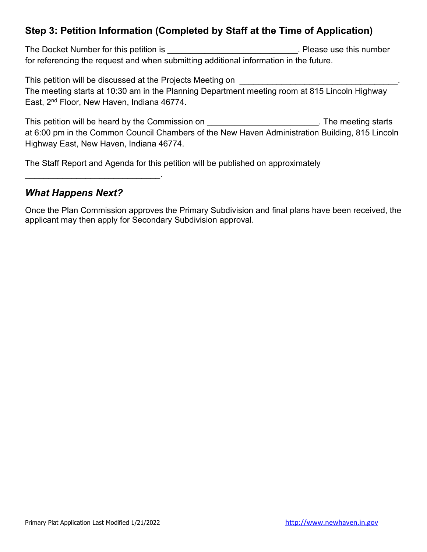## **Step 3: Petition Information (Completed by Staff at the Time of Application)**

The Docket Number for this petition is **The Docket Number** of this petition is for referencing the request and when submitting additional information in the future.

This petition will be discussed at the Projects Meeting on \_\_\_\_\_\_\_\_\_\_\_\_\_\_\_\_\_\_\_\_\_\_\_\_\_\_\_\_\_\_\_\_\_\_. The meeting starts at 10:30 am in the Planning Department meeting room at 815 Lincoln Highway East, 2nd Floor, New Haven, Indiana 46774.

This petition will be heard by the Commission on **The Starts** 2004. The meeting starts at 6:00 pm in the Common Council Chambers of the New Haven Administration Building, 815 Lincoln Highway East, New Haven, Indiana 46774.

The Staff Report and Agenda for this petition will be published on approximately

## *What Happens Next?*

\_\_\_\_\_\_\_\_\_\_\_\_\_\_\_\_\_\_\_\_\_\_\_\_\_\_\_\_\_.

Once the Plan Commission approves the Primary Subdivision and final plans have been received, the applicant may then apply for Secondary Subdivision approval.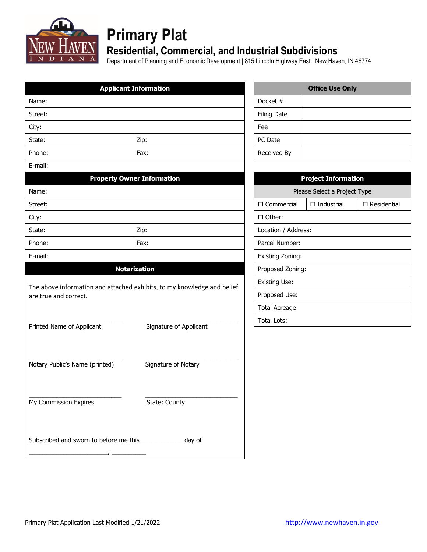

# **Primary Plat**

## **Residential, Commercial, and Industrial Subdivisions**

Department of Planning and Economic Development | 815 Lincoln Highway East | New Haven, IN 46774

|                                                             | <b>Applicant Information</b>                                            |                      | <b>Office Use Only</b>       |                       |
|-------------------------------------------------------------|-------------------------------------------------------------------------|----------------------|------------------------------|-----------------------|
| Name:                                                       |                                                                         | Docket #             |                              |                       |
| Street:                                                     |                                                                         | <b>Filing Date</b>   |                              |                       |
| City:                                                       |                                                                         | Fee                  |                              |                       |
| State:                                                      | Zip:                                                                    | PC Date              |                              |                       |
| Phone:                                                      | Fax:                                                                    | Received By          |                              |                       |
| E-mail:                                                     |                                                                         |                      |                              |                       |
|                                                             | <b>Property Owner Information</b>                                       |                      | <b>Project Information</b>   |                       |
| Name:                                                       |                                                                         |                      | Please Select a Project Type |                       |
| Street:                                                     |                                                                         | $\square$ Commercial | $\Box$ Industrial            | $\square$ Residential |
| City:                                                       |                                                                         | □ Other:             |                              |                       |
| State:                                                      | Zip:                                                                    | Location / Address:  |                              |                       |
| Phone:                                                      | Fax:                                                                    | Parcel Number:       |                              |                       |
| E-mail:                                                     |                                                                         | Existing Zoning:     |                              |                       |
|                                                             | <b>Notarization</b>                                                     | Proposed Zoning:     |                              |                       |
|                                                             |                                                                         | Existing Use:        |                              |                       |
| are true and correct.                                       | The above information and attached exhibits, to my knowledge and belief | Proposed Use:        |                              |                       |
|                                                             |                                                                         | Total Acreage:       |                              |                       |
|                                                             |                                                                         | <b>Total Lots:</b>   |                              |                       |
| Printed Name of Applicant                                   | Signature of Applicant                                                  |                      |                              |                       |
|                                                             |                                                                         |                      |                              |                       |
|                                                             |                                                                         |                      |                              |                       |
| Notary Public's Name (printed)                              | Signature of Notary                                                     |                      |                              |                       |
|                                                             |                                                                         |                      |                              |                       |
|                                                             |                                                                         |                      |                              |                       |
| My Commission Expires                                       | State; County                                                           |                      |                              |                       |
|                                                             |                                                                         |                      |                              |                       |
| Subscribed and sworn to before me this _____________ day of |                                                                         |                      |                              |                       |
|                                                             |                                                                         |                      |                              |                       |
|                                                             |                                                                         |                      |                              |                       |

|                    | <b>Office Use Only</b> |
|--------------------|------------------------|
| Docket #           |                        |
| <b>Filing Date</b> |                        |
| Fee                |                        |
| PC Date            |                        |
| Received By        |                        |

| <b>Project Information</b>                         |                              |  |  |  |  |  |
|----------------------------------------------------|------------------------------|--|--|--|--|--|
|                                                    | Please Select a Project Type |  |  |  |  |  |
| □ Commercial<br>$\Box$ Industrial<br>□ Residential |                              |  |  |  |  |  |
| □ Other:                                           |                              |  |  |  |  |  |
| Location / Address:                                |                              |  |  |  |  |  |
| Parcel Number:                                     |                              |  |  |  |  |  |
| Existing Zoning:                                   |                              |  |  |  |  |  |
| Proposed Zoning:                                   |                              |  |  |  |  |  |
| Existing Use:                                      |                              |  |  |  |  |  |
| Proposed Use:                                      |                              |  |  |  |  |  |
| Total Acreage:                                     |                              |  |  |  |  |  |
| Total Lots:                                        |                              |  |  |  |  |  |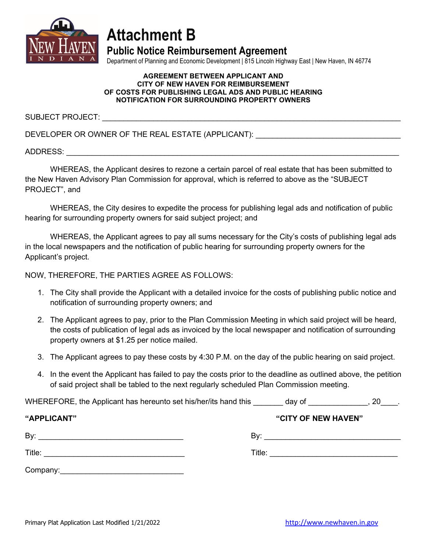

## **Attachment B**

**Public Notice Reimbursement Agreement**

Department of Planning and Economic Development | 815 Lincoln Highway East | New Haven, IN 46774

#### **AGREEMENT BETWEEN APPLICANT AND CITY OF NEW HAVEN FOR REIMBURSEMENT OF COSTS FOR PUBLISHING LEGAL ADS AND PUBLIC HEARING NOTIFICATION FOR SURROUNDING PROPERTY OWNERS**

SUBJECT PROJECT:

DEVELOPER OR OWNER OF THE REAL ESTATE (APPLICANT):

ADDRESS: \_\_\_\_\_\_\_\_\_\_\_\_\_\_\_\_\_\_\_\_\_\_\_\_\_\_\_\_\_\_\_\_\_\_\_\_\_\_\_\_\_\_\_\_\_\_\_\_\_\_\_\_\_\_\_\_\_\_\_\_\_\_\_\_\_\_\_\_\_\_\_\_\_\_\_\_\_\_

WHEREAS, the Applicant desires to rezone a certain parcel of real estate that has been submitted to the New Haven Advisory Plan Commission for approval, which is referred to above as the "SUBJECT PROJECT", and

WHEREAS, the City desires to expedite the process for publishing legal ads and notification of public hearing for surrounding property owners for said subject project; and

WHEREAS, the Applicant agrees to pay all sums necessary for the City's costs of publishing legal ads in the local newspapers and the notification of public hearing for surrounding property owners for the Applicant's project.

NOW, THEREFORE, THE PARTIES AGREE AS FOLLOWS:

- 1. The City shall provide the Applicant with a detailed invoice for the costs of publishing public notice and notification of surrounding property owners; and
- 2. The Applicant agrees to pay, prior to the Plan Commission Meeting in which said project will be heard, the costs of publication of legal ads as invoiced by the local newspaper and notification of surrounding property owners at \$1.25 per notice mailed.
- 3. The Applicant agrees to pay these costs by 4:30 P.M. on the day of the public hearing on said project.
- 4. In the event the Applicant has failed to pay the costs prior to the deadline as outlined above, the petition of said project shall be tabled to the next regularly scheduled Plan Commission meeting.

WHEREFORE, the Applicant has hereunto set his/her/its hand this day of the same set of the set of the set of the set of the set of the set of the set of the set of the set of the set of the set of the set of the set of the

| "APPLICANT" | "CITY OF NEW HAVEN" |
|-------------|---------------------|
| By:         | By:                 |
| Title:      | Title:              |
| Company:    |                     |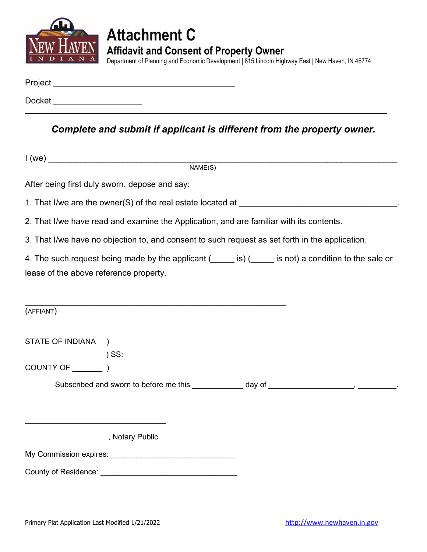

## **Attachment C Affidavit and Consent of Property Owner**

Department of Planning and Economic Development | 815 Lincoln Highway East | New Haven, IN 46774

| Project |  |  |  |
|---------|--|--|--|
|         |  |  |  |
| Docket  |  |  |  |

*Complete and submit if applicant is different from the property owner.*

|                                        | $1$ (we)                                                                                        |                                                                                                        |
|----------------------------------------|-------------------------------------------------------------------------------------------------|--------------------------------------------------------------------------------------------------------|
|                                        | NAME(S)                                                                                         |                                                                                                        |
|                                        | After being first duly sworn, depose and say:                                                   |                                                                                                        |
|                                        |                                                                                                 |                                                                                                        |
|                                        | 2. That I/we have read and examine the Application, and are familiar with its contents.         |                                                                                                        |
|                                        | 3. That I/we have no objection to, and consent to such request as set forth in the application. |                                                                                                        |
|                                        |                                                                                                 | 4. The such request being made by the applicant (incore is) (incore is not) a condition to the sale or |
| lease of the above reference property. |                                                                                                 |                                                                                                        |
|                                        |                                                                                                 |                                                                                                        |
| (AFFIANT)                              |                                                                                                 |                                                                                                        |
| STATE OF INDIANA )                     |                                                                                                 |                                                                                                        |
|                                        | $)$ SS:                                                                                         |                                                                                                        |
|                                        |                                                                                                 |                                                                                                        |
|                                        |                                                                                                 | Subscribed and sworn to before me this ____________ day of ____________________, __________.           |
|                                        |                                                                                                 |                                                                                                        |
|                                        |                                                                                                 |                                                                                                        |
|                                        | , Notary Public                                                                                 |                                                                                                        |
|                                        |                                                                                                 |                                                                                                        |
|                                        |                                                                                                 |                                                                                                        |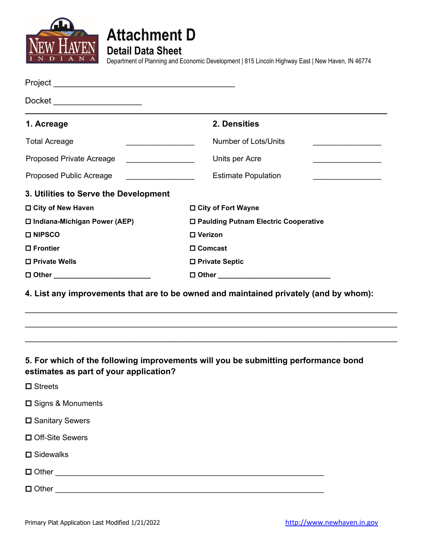



**Detail Data Sheet**

Department of Planning and Economic Development | 815 Lincoln Highway East | New Haven, IN 46774

| Docket ______________________          |                                                                                                                                                                                                                                                        |
|----------------------------------------|--------------------------------------------------------------------------------------------------------------------------------------------------------------------------------------------------------------------------------------------------------|
| 1. Acreage                             | 2. Densities                                                                                                                                                                                                                                           |
| <b>Total Acreage</b>                   | <b>Number of Lots/Units</b>                                                                                                                                                                                                                            |
| Proposed Private Acreage               | Units per Acre<br><u> The Communication of the Communication of the Communication of the Communication of the Communication of the Communication of the Communication of the Communication of the Communication of the Communication of the Commun</u> |
| Proposed Public Acreage                | <b>Estimate Population</b><br><u> 1990 - Johann Barbara, martin a</u><br><u> 1989 - Johann Barbara, martin a</u>                                                                                                                                       |
| 3. Utilities to Serve the Development  |                                                                                                                                                                                                                                                        |
| □ City of New Haven                    | □ City of Fort Wayne                                                                                                                                                                                                                                   |
| □ Indiana-Michigan Power (AEP)         | □ Paulding Putnam Electric Cooperative                                                                                                                                                                                                                 |
| □ NIPSCO                               | □ Verizon                                                                                                                                                                                                                                              |
| $\square$ Frontier                     | □ Comcast                                                                                                                                                                                                                                              |
| □ Private Wells                        | □ Private Septic                                                                                                                                                                                                                                       |
| □ Other ____________________________   |                                                                                                                                                                                                                                                        |
|                                        | 4. List any improvements that are to be owned and maintained privately (and by whom):                                                                                                                                                                  |
| estimates as part of your application? | 5. For which of the following improvements will you be submitting performance bond                                                                                                                                                                     |
| <b>□</b> Streets                       |                                                                                                                                                                                                                                                        |
| □ Signs & Monuments                    |                                                                                                                                                                                                                                                        |
| □ Sanitary Sewers                      |                                                                                                                                                                                                                                                        |
| □ Off-Site Sewers                      |                                                                                                                                                                                                                                                        |

**□** Sidewalks

Other \_\_\_\_\_\_\_\_\_\_\_\_\_\_\_\_\_\_\_\_\_\_\_\_\_\_\_\_\_\_\_\_\_\_\_\_\_\_\_\_\_\_\_\_\_\_\_\_\_\_\_\_\_\_\_\_\_\_\_\_\_\_\_

Other \_\_\_\_\_\_\_\_\_\_\_\_\_\_\_\_\_\_\_\_\_\_\_\_\_\_\_\_\_\_\_\_\_\_\_\_\_\_\_\_\_\_\_\_\_\_\_\_\_\_\_\_\_\_\_\_\_\_\_\_\_\_\_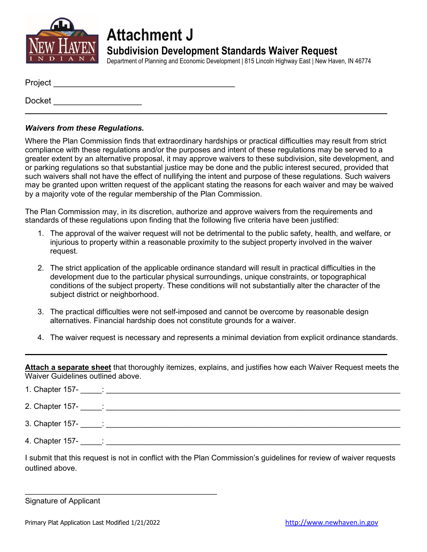

**Attachment J**

**Subdivision Development Standards Waiver Request**

Department of Planning and Economic Development | 815 Lincoln Highway East | New Haven, IN 46774

| Project |  |  |  |
|---------|--|--|--|
| Docket  |  |  |  |

### *Waivers from these Regulations.*

Where the Plan Commission finds that extraordinary hardships or practical difficulties may result from strict compliance with these regulations and/or the purposes and intent of these regulations may be served to a greater extent by an alternative proposal, it may approve waivers to these subdivision, site development, and or parking regulations so that substantial justice may be done and the public interest secured, provided that such waivers shall not have the effect of nullifying the intent and purpose of these regulations. Such waivers may be granted upon written request of the applicant stating the reasons for each waiver and may be waived by a majority vote of the regular membership of the Plan Commission.

The Plan Commission may, in its discretion, authorize and approve waivers from the requirements and standards of these regulations upon finding that the following five criteria have been justified:

- 1. The approval of the waiver request will not be detrimental to the public safety, health, and welfare, or injurious to property within a reasonable proximity to the subject property involved in the waiver request.
- 2. The strict application of the applicable ordinance standard will result in practical difficulties in the development due to the particular physical surroundings, unique constraints, or topographical conditions of the subject property. These conditions will not substantially alter the character of the subject district or neighborhood.
- 3. The practical difficulties were not self-imposed and cannot be overcome by reasonable design alternatives. Financial hardship does not constitute grounds for a waiver.
- 4. The waiver request is necessary and represents a minimal deviation from explicit ordinance standards.

**Attach a separate sheet** that thoroughly itemizes, explains, and justifies how each Waiver Request meets the Waiver Guidelines outlined above.

| 1. Chapter $157 - 2$ |  |
|----------------------|--|
| 2. Chapter $157 - 2$ |  |
| 3. Chapter 157- :    |  |
| 4. Chapter 157-      |  |

I submit that this request is not in conflict with the Plan Commission's guidelines for review of waiver requests outlined above.

Signature of Applicant

\_\_\_\_\_\_\_\_\_\_\_\_\_\_\_\_\_\_\_\_\_\_\_\_\_\_\_\_\_\_\_\_\_\_\_\_\_\_\_\_\_\_\_\_\_